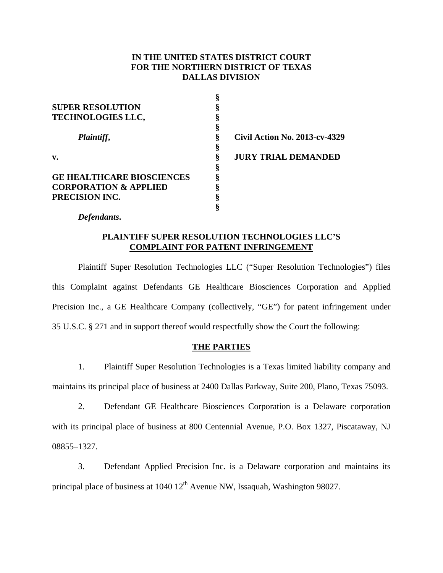# **IN THE UNITED STATES DISTRICT COURT FOR THE NORTHERN DISTRICT OF TEXAS DALLAS DIVISION**

| <b>SUPER RESOLUTION</b>          |                               |
|----------------------------------|-------------------------------|
| <b>TECHNOLOGIES LLC,</b>         |                               |
|                                  |                               |
| Plaintiff,                       | Civil Action No. 2013-cv-4329 |
|                                  |                               |
| v.                               | <b>JURY TRIAL DEMANDED</b>    |
|                                  |                               |
| <b>GE HEALTHCARE BIOSCIENCES</b> |                               |
| <b>CORPORATION &amp; APPLIED</b> |                               |
| PRECISION INC.                   |                               |
|                                  |                               |

*Defendants***.**

# **PLAINTIFF SUPER RESOLUTION TECHNOLOGIES LLC'S COMPLAINT FOR PATENT INFRINGEMENT**

 Plaintiff Super Resolution Technologies LLC ("Super Resolution Technologies") files this Complaint against Defendants GE Healthcare Biosciences Corporation and Applied Precision Inc., a GE Healthcare Company (collectively, "GE") for patent infringement under 35 U.S.C. § 271 and in support thereof would respectfully show the Court the following:

## **THE PARTIES**

1. Plaintiff Super Resolution Technologies is a Texas limited liability company and maintains its principal place of business at 2400 Dallas Parkway, Suite 200, Plano, Texas 75093.

2. Defendant GE Healthcare Biosciences Corporation is a Delaware corporation with its principal place of business at 800 Centennial Avenue, P.O. Box 1327, Piscataway, NJ 08855–1327.

3. Defendant Applied Precision Inc. is a Delaware corporation and maintains its principal place of business at  $1040 \frac{12^{\text{th}}}{\text{A}}$  Avenue NW, Issaquah, Washington 98027.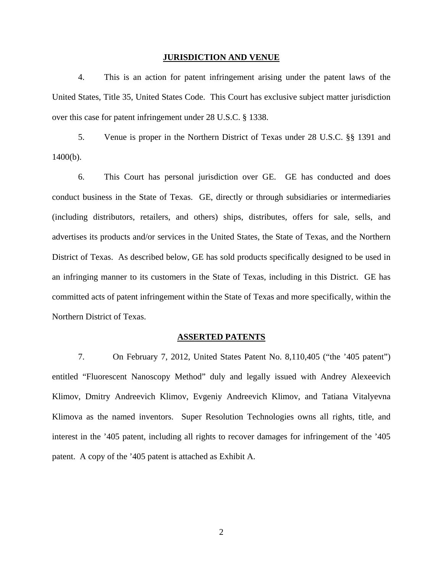#### **JURISDICTION AND VENUE**

4. This is an action for patent infringement arising under the patent laws of the United States, Title 35, United States Code. This Court has exclusive subject matter jurisdiction over this case for patent infringement under 28 U.S.C. § 1338.

5. Venue is proper in the Northern District of Texas under 28 U.S.C. §§ 1391 and 1400(b).

6. This Court has personal jurisdiction over GE. GE has conducted and does conduct business in the State of Texas. GE, directly or through subsidiaries or intermediaries (including distributors, retailers, and others) ships, distributes, offers for sale, sells, and advertises its products and/or services in the United States, the State of Texas, and the Northern District of Texas. As described below, GE has sold products specifically designed to be used in an infringing manner to its customers in the State of Texas, including in this District. GE has committed acts of patent infringement within the State of Texas and more specifically, within the Northern District of Texas.

#### **ASSERTED PATENTS**

7. On February 7, 2012, United States Patent No. 8,110,405 ("the '405 patent") entitled "Fluorescent Nanoscopy Method" duly and legally issued with Andrey Alexeevich Klimov, Dmitry Andreevich Klimov, Evgeniy Andreevich Klimov, and Tatiana Vitalyevna Klimova as the named inventors. Super Resolution Technologies owns all rights, title, and interest in the '405 patent, including all rights to recover damages for infringement of the '405 patent. A copy of the '405 patent is attached as Exhibit A.

2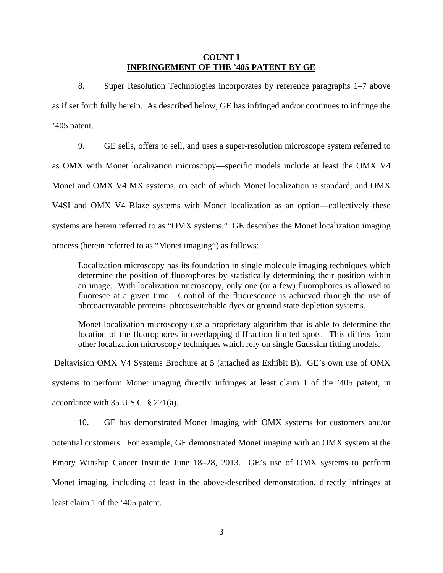## **COUNT I INFRINGEMENT OF THE '405 PATENT BY GE**

8. Super Resolution Technologies incorporates by reference paragraphs 1–7 above as if set forth fully herein. As described below, GE has infringed and/or continues to infringe the '405 patent.

9. GE sells, offers to sell, and uses a super-resolution microscope system referred to as OMX with Monet localization microscopy—specific models include at least the OMX V4 Monet and OMX V4 MX systems, on each of which Monet localization is standard, and OMX V4SI and OMX V4 Blaze systems with Monet localization as an option—collectively these systems are herein referred to as "OMX systems." GE describes the Monet localization imaging process (herein referred to as "Monet imaging") as follows:

Localization microscopy has its foundation in single molecule imaging techniques which determine the position of fluorophores by statistically determining their position within an image. With localization microscopy, only one (or a few) fluorophores is allowed to fluoresce at a given time. Control of the fluorescence is achieved through the use of photoactivatable proteins, photoswitchable dyes or ground state depletion systems.

Monet localization microscopy use a proprietary algorithm that is able to determine the location of the fluorophores in overlapping diffraction limited spots. This differs from other localization microscopy techniques which rely on single Gaussian fitting models.

 Deltavision OMX V4 Systems Brochure at 5 (attached as Exhibit B). GE's own use of OMX systems to perform Monet imaging directly infringes at least claim 1 of the '405 patent, in accordance with 35 U.S.C. § 271(a).

10. GE has demonstrated Monet imaging with OMX systems for customers and/or potential customers. For example, GE demonstrated Monet imaging with an OMX system at the Emory Winship Cancer Institute June 18–28, 2013. GE's use of OMX systems to perform Monet imaging, including at least in the above-described demonstration, directly infringes at least claim 1 of the '405 patent.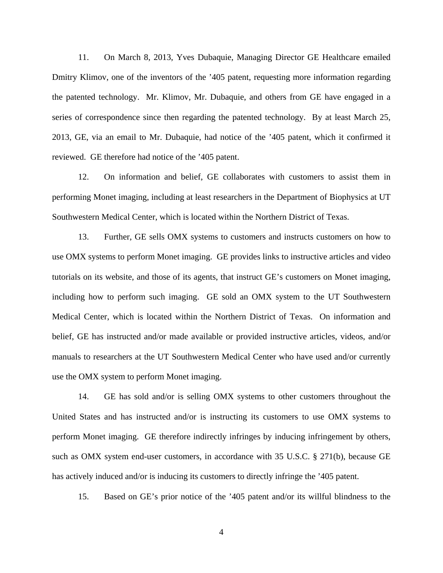11. On March 8, 2013, Yves Dubaquie, Managing Director GE Healthcare emailed Dmitry Klimov, one of the inventors of the '405 patent, requesting more information regarding the patented technology. Mr. Klimov, Mr. Dubaquie, and others from GE have engaged in a series of correspondence since then regarding the patented technology. By at least March 25, 2013, GE, via an email to Mr. Dubaquie, had notice of the '405 patent, which it confirmed it reviewed. GE therefore had notice of the '405 patent.

12. On information and belief, GE collaborates with customers to assist them in performing Monet imaging, including at least researchers in the Department of Biophysics at UT Southwestern Medical Center, which is located within the Northern District of Texas.

13. Further, GE sells OMX systems to customers and instructs customers on how to use OMX systems to perform Monet imaging. GE provides links to instructive articles and video tutorials on its website, and those of its agents, that instruct GE's customers on Monet imaging, including how to perform such imaging. GE sold an OMX system to the UT Southwestern Medical Center, which is located within the Northern District of Texas. On information and belief, GE has instructed and/or made available or provided instructive articles, videos, and/or manuals to researchers at the UT Southwestern Medical Center who have used and/or currently use the OMX system to perform Monet imaging.

14. GE has sold and/or is selling OMX systems to other customers throughout the United States and has instructed and/or is instructing its customers to use OMX systems to perform Monet imaging. GE therefore indirectly infringes by inducing infringement by others, such as OMX system end-user customers, in accordance with 35 U.S.C. § 271(b), because GE has actively induced and/or is inducing its customers to directly infringe the '405 patent.

15. Based on GE's prior notice of the '405 patent and/or its willful blindness to the

4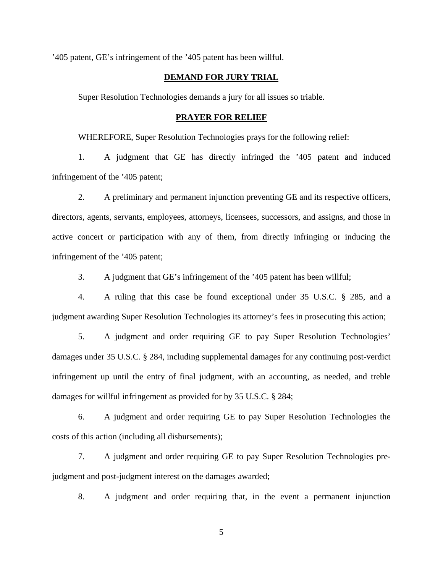'405 patent, GE's infringement of the '405 patent has been willful.

## **DEMAND FOR JURY TRIAL**

Super Resolution Technologies demands a jury for all issues so triable.

### **PRAYER FOR RELIEF**

WHEREFORE, Super Resolution Technologies prays for the following relief:

1. A judgment that GE has directly infringed the '405 patent and induced infringement of the '405 patent;

2. A preliminary and permanent injunction preventing GE and its respective officers, directors, agents, servants, employees, attorneys, licensees, successors, and assigns, and those in active concert or participation with any of them, from directly infringing or inducing the infringement of the '405 patent;

3. A judgment that GE's infringement of the '405 patent has been willful;

4. A ruling that this case be found exceptional under 35 U.S.C. § 285, and a judgment awarding Super Resolution Technologies its attorney's fees in prosecuting this action;

5. A judgment and order requiring GE to pay Super Resolution Technologies' damages under 35 U.S.C. § 284, including supplemental damages for any continuing post-verdict infringement up until the entry of final judgment, with an accounting, as needed, and treble damages for willful infringement as provided for by 35 U.S.C. § 284;

6. A judgment and order requiring GE to pay Super Resolution Technologies the costs of this action (including all disbursements);

7. A judgment and order requiring GE to pay Super Resolution Technologies prejudgment and post-judgment interest on the damages awarded;

8. A judgment and order requiring that, in the event a permanent injunction

5